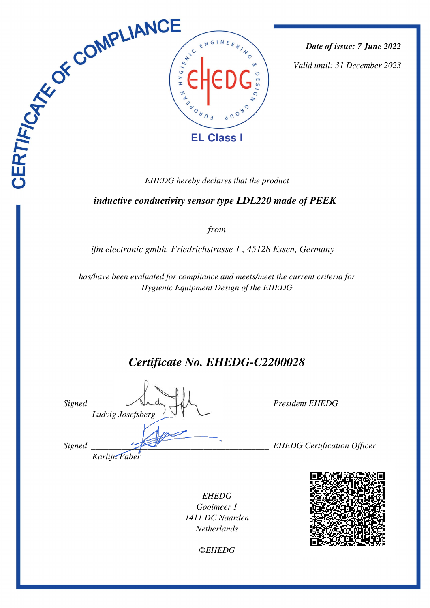

*Date of issue: 7 June 2022*

*Valid until: 31 December 2023*

 *inductive conductivity sensor type LDL220 made of PEEK* 

*from*

*ifm electronic gmbh, Friedrichstrasse 1 , 45128 Essen, Germany* 

*has/have been evaluated for compliance and meets/meet the current criteria for Hygienic Equipment Design of the EHEDG*

*Certificate No. EHEDG-C2200028*

| Signed | Ludvig Josefsberg | <b>President EHEDG</b>             |
|--------|-------------------|------------------------------------|
| Signed | Karlijn Faber     | <b>EHEDG</b> Certification Officer |

*EHEDG Gooimeer 1 1411 DC Naarden Netherlands*



*©EHEDG*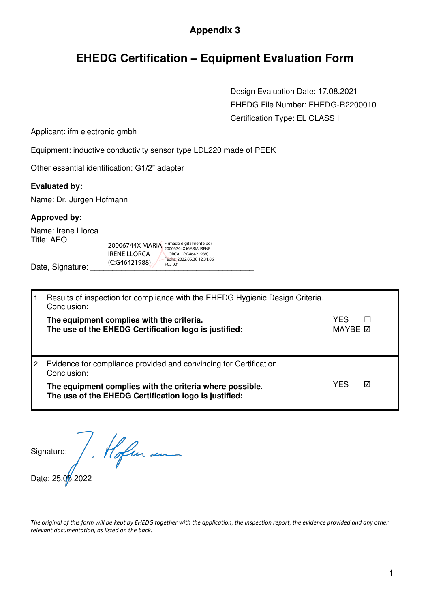### **Appendix 3**

## **EHEDG Certification – Equipment Evaluation Form**

 Design Evaluation Date: 17.08.2021 EHEDG File Number: EHEDG-R2200010 Certification Type: EL CLASS I

Applicant: ifm electronic gmbh

Equipment: inductive conductivity sensor type LDL220 made of PEEK

Other essential identification: G1/2" adapter

#### **Evaluated by:**

Name: Dr. Jürgen Hofmann

### **Approved by:**

Name: Irene Llorca Title: AEO

20006744X MARIA IRENE LLORCA (C:G46421988) Firmado digitalmente por 20006744X MARIA IRENE LLORCA (C:G46421988) Fecha: 2022.05.30 12:31:06 +02'00'

Date, Signature:

|    | Results of inspection for compliance with the EHEDG Hygienic Design Criteria.<br>Conclusion:                      |                       |   |  |
|----|-------------------------------------------------------------------------------------------------------------------|-----------------------|---|--|
|    | The equipment complies with the criteria.<br>The use of the EHEDG Certification logo is justified:                | YFS<br>MAYBE <b>☑</b> |   |  |
| 2. | Evidence for compliance provided and convincing for Certification.<br>Conclusion:                                 |                       |   |  |
|    | The equipment complies with the criteria where possible.<br>The use of the EHEDG Certification logo is justified: | YES                   | ⊠ |  |

Signature:

Signature: / Moflur en

*The original of this form will be kept by EHEDG together with the application, the inspection report, the evidence provided and any other relevant documentation, as listed on the back.*